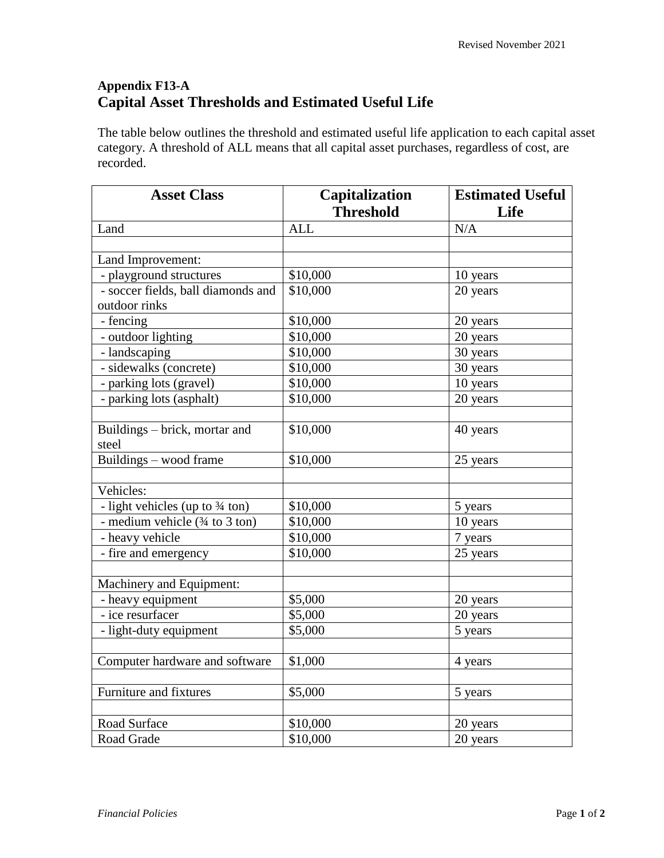## **Appendix F13-A Capital Asset Thresholds and Estimated Useful Life**

The table below outlines the threshold and estimated useful life application to each capital asset category. A threshold of ALL means that all capital asset purchases, regardless of cost, are recorded.

| <b>Asset Class</b>                                 | Capitalization   | <b>Estimated Useful</b> |
|----------------------------------------------------|------------------|-------------------------|
|                                                    | <b>Threshold</b> | Life                    |
| Land                                               | <b>ALL</b>       | N/A                     |
|                                                    |                  |                         |
| Land Improvement:                                  |                  |                         |
| - playground structures                            | \$10,000         | 10 years                |
| - soccer fields, ball diamonds and                 | \$10,000         | 20 years                |
| outdoor rinks                                      |                  |                         |
| - fencing                                          | \$10,000         | 20 years                |
| - outdoor lighting                                 | \$10,000         | 20 years                |
| - landscaping                                      | \$10,000         | 30 years                |
| - sidewalks (concrete)                             | \$10,000         | 30 years                |
| - parking lots (gravel)                            | \$10,000         | 10 years                |
| - parking lots (asphalt)                           | \$10,000         | 20 years                |
|                                                    |                  |                         |
| Buildings – brick, mortar and                      | \$10,000         | 40 years                |
| steel                                              |                  |                         |
| Buildings – wood frame                             | \$10,000         | 25 years                |
|                                                    |                  |                         |
| Vehicles:                                          |                  |                         |
| - light vehicles (up to 3⁄4 ton)                   | \$10,000         | 5 years                 |
| - medium vehicle $(3/4 \text{ to } 3 \text{ ton})$ | \$10,000         | 10 years                |
| - heavy vehicle                                    | \$10,000         | 7 years                 |
| - fire and emergency                               | \$10,000         | 25 years                |
|                                                    |                  |                         |
| Machinery and Equipment:                           |                  |                         |
| - heavy equipment                                  | \$5,000          | 20 years                |
| - ice resurfacer                                   | \$5,000          | 20 years                |
| - light-duty equipment                             | \$5,000          | 5 years                 |
|                                                    |                  |                         |
| Computer hardware and software                     | \$1,000          | 4 years                 |
|                                                    |                  |                         |
| Furniture and fixtures                             | \$5,000          | 5 years                 |
|                                                    |                  |                         |
| Road Surface                                       | \$10,000         | 20 years                |
| Road Grade                                         | \$10,000         | 20 years                |